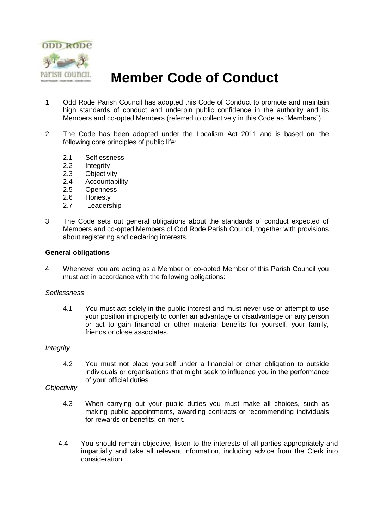

# **Member Code of Conduct**

- 1 Odd Rode Parish Council has adopted this Code of Conduct to promote and maintain high standards of conduct and underpin public confidence in the authority and its Members and co-opted Members (referred to collectively in this Code as "Members").
- 2 The Code has been adopted under the Localism Act 2011 and is based on the following core principles of public life:
	- 2.1 Selflessness
	-
	- 2.2 Integrity<br>2.3 Objectiv
	- 2.3 Objectivity<br>2.4 Accountab **Accountability**
	- 2.5 Openness
	- 2.6 Honesty
	- 2.7 Leadership
- 3 The Code sets out general obligations about the standards of conduct expected of Members and co-opted Members of Odd Rode Parish Council, together with provisions about registering and declaring interests.

# **General obligations**

4 Whenever you are acting as a Member or co-opted Member of this Parish Council you must act in accordance with the following obligations:

## *Selflessness*

4.1 You must act solely in the public interest and must never use or attempt to use your position improperly to confer an advantage or disadvantage on any person or act to gain financial or other material benefits for yourself, your family, friends or close associates.

## *Integrity*

4.2 You must not place yourself under a financial or other obligation to outside individuals or organisations that might seek to influence you in the performance of your official duties.

# *Objectivity*

- 4.3 When carrying out your public duties you must make all choices, such as making public appointments, awarding contracts or recommending individuals for rewards or benefits, on merit.
- 4.4 You should remain objective, listen to the interests of all parties appropriately and impartially and take all relevant information, including advice from the Clerk into consideration.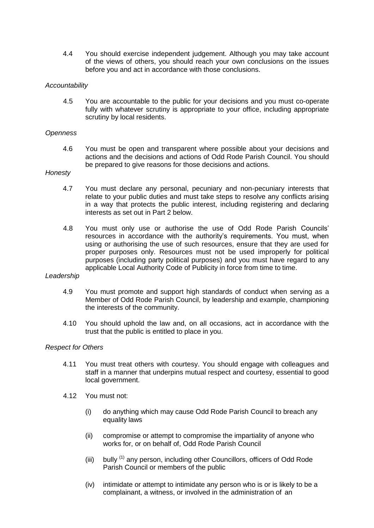4.4 You should exercise independent judgement. Although you may take account of the views of others, you should reach your own conclusions on the issues before you and act in accordance with those conclusions.

# *Accountability*

4.5 You are accountable to the public for your decisions and you must co-operate fully with whatever scrutiny is appropriate to your office, including appropriate scrutiny by local residents.

# *Openness*

4.6 You must be open and transparent where possible about your decisions and actions and the decisions and actions of Odd Rode Parish Council. You should be prepared to give reasons for those decisions and actions.

## *Honesty*

- 4.7 You must declare any personal, pecuniary and non-pecuniary interests that relate to your public duties and must take steps to resolve any conflicts arising in a way that protects the public interest, including registering and declaring interests as set out in Part 2 below.
- 4.8 You must only use or authorise the use of Odd Rode Parish Councils' resources in accordance with the authority's requirements. You must, when using or authorising the use of such resources, ensure that they are used for proper purposes only. Resources must not be used improperly for political purposes (including party political purposes) and you must have regard to any applicable Local Authority Code of Publicity in force from time to time.

## *Leadership*

- 4.9 You must promote and support high standards of conduct when serving as a Member of Odd Rode Parish Council, by leadership and example, championing the interests of the community.
- 4.10 You should uphold the law and, on all occasions, act in accordance with the trust that the public is entitled to place in you.

# *Respect for Others*

- 4.11 You must treat others with courtesy. You should engage with colleagues and staff in a manner that underpins mutual respect and courtesy, essential to good local government.
- 4.12 You must not:
	- (i) do anything which may cause Odd Rode Parish Council to breach any equality laws
	- (ii) compromise or attempt to compromise the impartiality of anyone who works for, or on behalf of, Odd Rode Parish Council
	- (iii) bully  $<sup>(1)</sup>$  any person, including other Councillors, officers of Odd Rode</sup> Parish Council or members of the public
	- (iv) intimidate or attempt to intimidate any person who is or is likely to be a complainant, a witness, or involved in the administration of an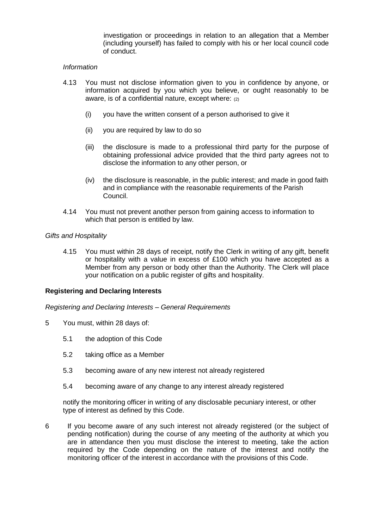investigation or proceedings in relation to an allegation that a Member (including yourself) has failed to comply with his or her local council code of conduct.

# *Information*

- 4.13 You must not disclose information given to you in confidence by anyone, or information acquired by you which you believe, or ought reasonably to be aware, is of a confidential nature, except where: (2)
	- (i) you have the written consent of a person authorised to give it
	- (ii) you are required by law to do so
	- (iii) the disclosure is made to a professional third party for the purpose of obtaining professional advice provided that the third party agrees not to disclose the information to any other person, or
	- (iv) the disclosure is reasonable, in the public interest; and made in good faith and in compliance with the reasonable requirements of the Parish Council.
- 4.14 You must not prevent another person from gaining access to information to which that person is entitled by law.

## *Gifts and Hospitality*

4.15 You must within 28 days of receipt, notify the Clerk in writing of any gift, benefit or hospitality with a value in excess of £100 which you have accepted as a Member from any person or body other than the Authority. The Clerk will place your notification on a public register of gifts and hospitality.

# **Registering and Declaring Interests**

*Registering and Declaring Interests – General Requirements*

- 5 You must, within 28 days of:
	- 5.1 the adoption of this Code
	- 5.2 taking office as a Member
	- 5.3 becoming aware of any new interest not already registered
	- 5.4 becoming aware of any change to any interest already registered

notify the monitoring officer in writing of any disclosable pecuniary interest, or other type of interest as defined by this Code.

6 If you become aware of any such interest not already registered (or the subject of pending notification) during the course of any meeting of the authority at which you are in attendance then you must disclose the interest to meeting, take the action required by the Code depending on the nature of the interest and notify the monitoring officer of the interest in accordance with the provisions of this Code.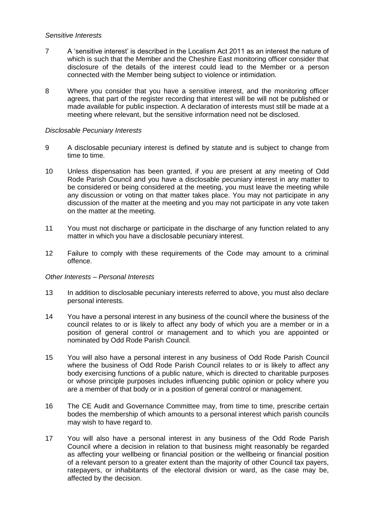# *Sensitive Interests*

- 7 A 'sensitive interest' is described in the Localism Act 2011 as an interest the nature of which is such that the Member and the Cheshire East monitoring officer consider that disclosure of the details of the interest could lead to the Member or a person connected with the Member being subject to violence or intimidation.
- 8 Where you consider that you have a sensitive interest, and the monitoring officer agrees, that part of the register recording that interest will be will not be published or made available for public inspection. A declaration of interests must still be made at a meeting where relevant, but the sensitive information need not be disclosed.

# *Disclosable Pecuniary Interests*

- 9 A disclosable pecuniary interest is defined by statute and is subject to change from time to time.
- 10 Unless dispensation has been granted, if you are present at any meeting of Odd Rode Parish Council and you have a disclosable pecuniary interest in any matter to be considered or being considered at the meeting, you must leave the meeting while any discussion or voting on that matter takes place. You may not participate in any discussion of the matter at the meeting and you may not participate in any vote taken on the matter at the meeting.
- 11 You must not discharge or participate in the discharge of any function related to any matter in which you have a disclosable pecuniary interest.
- 12 Failure to comply with these requirements of the Code may amount to a criminal offence.

## *Other Interests – Personal Interests*

- 13 In addition to disclosable pecuniary interests referred to above, you must also declare personal interests.
- 14 You have a personal interest in any business of the council where the business of the council relates to or is likely to affect any body of which you are a member or in a position of general control or management and to which you are appointed or nominated by Odd Rode Parish Council.
- 15 You will also have a personal interest in any business of Odd Rode Parish Council where the business of Odd Rode Parish Council relates to or is likely to affect any body exercising functions of a public nature, which is directed to charitable purposes or whose principle purposes includes influencing public opinion or policy where you are a member of that body or in a position of general control or management.
- 16 The CE Audit and Governance Committee may, from time to time, prescribe certain bodes the membership of which amounts to a personal interest which parish councils may wish to have regard to.
- 17 You will also have a personal interest in any business of the Odd Rode Parish Council where a decision in relation to that business might reasonably be regarded as affecting your wellbeing or financial position or the wellbeing or financial position of a relevant person to a greater extent than the majority of other Council tax payers, ratepayers, or inhabitants of the electoral division or ward, as the case may be, affected by the decision.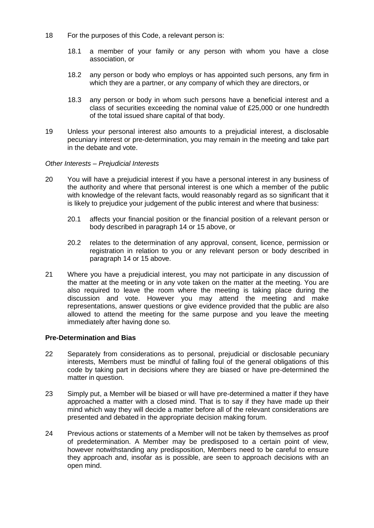- 18 For the purposes of this Code, a relevant person is:
	- 18.1 a member of your family or any person with whom you have a close association, or
	- 18.2 any person or body who employs or has appointed such persons, any firm in which they are a partner, or any company of which they are directors, or
	- 18.3 any person or body in whom such persons have a beneficial interest and a class of securities exceeding the nominal value of £25,000 or one hundredth of the total issued share capital of that body.
- 19 Unless your personal interest also amounts to a prejudicial interest, a disclosable pecuniary interest or pre-determination, you may remain in the meeting and take part in the debate and vote.

# *Other Interests – Prejudicial Interests*

- 20 You will have a prejudicial interest if you have a personal interest in any business of the authority and where that personal interest is one which a member of the public with knowledge of the relevant facts, would reasonably regard as so significant that it is likely to prejudice your judgement of the public interest and where that business:
	- 20.1 affects your financial position or the financial position of a relevant person or body described in paragraph 14 or 15 above, or
	- 20.2 relates to the determination of any approval, consent, licence, permission or registration in relation to you or any relevant person or body described in paragraph 14 or 15 above.
- 21 Where you have a prejudicial interest, you may not participate in any discussion of the matter at the meeting or in any vote taken on the matter at the meeting. You are also required to leave the room where the meeting is taking place during the discussion and vote. However you may attend the meeting and make representations, answer questions or give evidence provided that the public are also allowed to attend the meeting for the same purpose and you leave the meeting immediately after having done so.

## **Pre-Determination and Bias**

- 22 Separately from considerations as to personal, prejudicial or disclosable pecuniary interests, Members must be mindful of falling foul of the general obligations of this code by taking part in decisions where they are biased or have pre-determined the matter in question.
- 23 Simply put, a Member will be biased or will have pre-determined a matter if they have approached a matter with a closed mind. That is to say if they have made up their mind which way they will decide a matter before all of the relevant considerations are presented and debated in the appropriate decision making forum.
- 24 Previous actions or statements of a Member will not be taken by themselves as proof of predetermination. A Member may be predisposed to a certain point of view, however notwithstanding any predisposition, Members need to be careful to ensure they approach and, insofar as is possible, are seen to approach decisions with an open mind.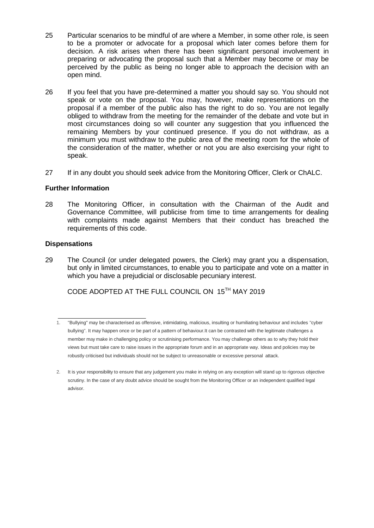- 25 Particular scenarios to be mindful of are where a Member, in some other role, is seen to be a promoter or advocate for a proposal which later comes before them for decision. A risk arises when there has been significant personal involvement in preparing or advocating the proposal such that a Member may become or may be perceived by the public as being no longer able to approach the decision with an open mind.
- 26 If you feel that you have pre-determined a matter you should say so. You should not speak or vote on the proposal. You may, however, make representations on the proposal if a member of the public also has the right to do so. You are not legally obliged to withdraw from the meeting for the remainder of the debate and vote but in most circumstances doing so will counter any suggestion that you influenced the remaining Members by your continued presence. If you do not withdraw, as a minimum you must withdraw to the public area of the meeting room for the whole of the consideration of the matter, whether or not you are also exercising your right to speak.
- 27 If in any doubt you should seek advice from the Monitoring Officer, Clerk or ChALC.

# **Further Information**

28 The Monitoring Officer, in consultation with the Chairman of the Audit and Governance Committee, will publicise from time to time arrangements for dealing with complaints made against Members that their conduct has breached the requirements of this code.

# **Dispensations**

29 The Council (or under delegated powers, the Clerk) may grant you a dispensation, but only in limited circumstances, to enable you to participate and vote on a matter in which you have a prejudicial or disclosable pecuniary interest.

CODE ADOPTED AT THE FULL COUNCIL ON 15TH MAY 2019

<sup>1.</sup> "Bullying" may be characterised as offensive, intimidating, malicious, insulting or humiliating behaviour and includes "cyber bullying". It may happen once or be part of a pattern of behaviour.It can be contrasted with the legitimate challenges a member may make in challenging policy or scrutinising performance. You may challenge others as to why they hold their views but must take care to raise issues in the appropriate forum and in an appropriate way. Ideas and policies may be robustly criticised but individuals should not be subject to unreasonable or excessive personal attack.

<sup>2.</sup> It is your responsibility to ensure that any judgement you make in relying on any exception will stand up to rigorous objective scrutiny. In the case of any doubt advice should be sought from the Monitoring Officer or an independent qualified legal advisor.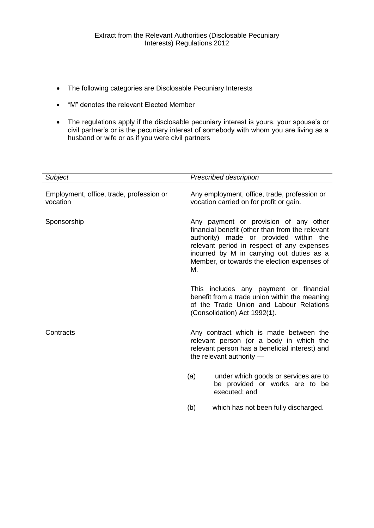- The following categories are Disclosable Pecuniary Interests
- "M" denotes the relevant Elected Member
- The regulations apply if the disclosable pecuniary interest is yours, your spouse's or civil partner's or is the pecuniary interest of somebody with whom you are living as a husband or wife or as if you were civil partners

| <b>Subject</b>                                       | <b>Prescribed description</b>                                                           |                                                                                                                                                                                                                                                                              |  |
|------------------------------------------------------|-----------------------------------------------------------------------------------------|------------------------------------------------------------------------------------------------------------------------------------------------------------------------------------------------------------------------------------------------------------------------------|--|
| Employment, office, trade, profession or<br>vocation | Any employment, office, trade, profession or<br>vocation carried on for profit or gain. |                                                                                                                                                                                                                                                                              |  |
| Sponsorship                                          | М.                                                                                      | Any payment or provision of any other<br>financial benefit (other than from the relevant<br>authority) made or provided within the<br>relevant period in respect of any expenses<br>incurred by M in carrying out duties as a<br>Member, or towards the election expenses of |  |
|                                                      |                                                                                         | This includes any payment or financial<br>benefit from a trade union within the meaning<br>of the Trade Union and Labour Relations<br>(Consolidation) Act 1992(1).                                                                                                           |  |
| Contracts                                            |                                                                                         | Any contract which is made between the<br>relevant person (or a body in which the<br>relevant person has a beneficial interest) and<br>the relevant authority -                                                                                                              |  |
|                                                      | (a)                                                                                     | under which goods or services are to<br>be provided or works are to be<br>executed; and                                                                                                                                                                                      |  |
|                                                      | (b)                                                                                     | which has not been fully discharged.                                                                                                                                                                                                                                         |  |